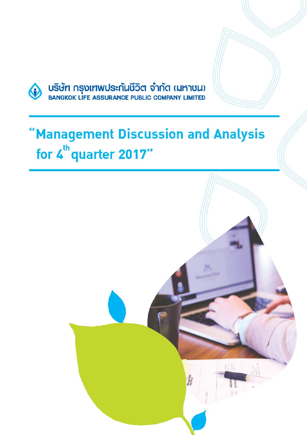

บริษัท กรุงเทพประกันชีวิต จำกัด (มหาชน)<br>BANGKOK LIFE ASSURANCE PUBLIC COMPANY LIMITED

# "Management Discussion and Analysis for 4<sup>th</sup> quarter 2017"

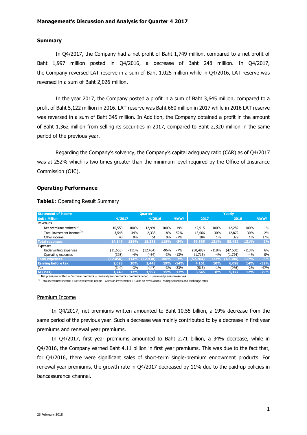#### **Summary**

In Q4/2017, the Company had a net profit of Baht 1,749 million, compared to a net profit of Baht 1,997 million posted in Q4/2016, a decrease of Baht 248 million. In Q4/2017, the Company reversed LAT reserve in a sum of Baht 1,025 million while in Q4/2016, LAT reserve was reversed in a sum of Baht 2,026 million.

In the year 2017, the Company posted a profit in a sum of Baht 3,645 million, compared to a profit of Baht 5,122 million in 2016. LAT reserve was Baht 660 million in 2017 while in 2016 LAT reserve was reversed in a sum of Baht 345 million. In Addition, the Company obtained a profit in the amount of Baht 1,362 million from selling its securities in 2017, compared to Baht 2,320 million in the same period of the previous year.

Regarding the Company's solvency, the Company's capital adequacy ratio (CAR) as of Q4/2017 was at 252% which is two times greater than the minimum level required by the Office of Insurance Commission (OIC).

#### **Operating Performance**

| <b>Statement of income</b>             | Yearly<br><b>Ouarter</b> |         |                   |         |        |           |         |           |         |        |
|----------------------------------------|--------------------------|---------|-------------------|---------|--------|-----------|---------|-----------|---------|--------|
| <b>Unit: Million</b>                   | 4/2017                   |         | 4/2016            |         | %YoY   | 2017      |         | 2016      |         | 9/6YOY |
| Revenues                               |                          |         |                   |         |        |           |         |           |         |        |
| Net premiums written <sup>(1)</sup>    | 10,553                   | 100%    | 12,991            | 100%    | $-19%$ | 42,915    | 100%    | 42,282    | 100%    | $1\%$  |
| Total investment income <sup>(2)</sup> | 3,548                    | 34%     | 2,338             | 18%     | 52%    | 13,066    | 30%     | 12,872    | 30%     | 2%     |
| Other income                           | 48                       | 0%      | 51                | 0%      | -7%    | 384       | $1\%$   | 329       | $1\%$   | 17%    |
| Total revenues                         | 14.149                   | 134%    | 15,381            | 118%    | $-8%$  | 56,365    | 131%    | 55,482    | 131%    | 2%     |
| Expenses                               |                          |         |                   |         |        |           |         |           |         |        |
| Underwriting expenses                  | (11, 663)                | $-111%$ | (12, 484)         | $-96%$  | $-7%$  | (50, 488) | $-118%$ | (47,660)  | $-113%$ | 6%     |
| Operating expenses                     | (393)                    | $-4%$   | (454)             | $-3%$   | $-13%$ | (1,716)   | $-4%$   | (1,724)   | $-4%$   | $0\%$  |
| <b>Total expenses</b>                  | (12,056)                 |         | $-114\%$ (12,938) | $-100%$ | $-7%$  | (52, 204) | $-122%$ | (49, 384) | $-117%$ | 6%     |
| <b>Earning before tax</b>              | 2,093                    | 20%     | 2,443             | 19%     | $-14%$ | 4,161     | 10%     | 6,098     | 14%     | $-32%$ |
| Tax                                    | (344)                    | $-3%$   | (447)             | $-3%$   | $-23%$ | (516)     | $-1\%$  | (976)     | $-2\%$  | $-47%$ |
| <b>NI</b> (loss)                       | 1.749                    | 17%     | 1.997             | 15%     | $-12%$ | 3,645     | 8%      | 5.122     | 12%     | $-29%$ |

**Table1**: Operating Result Summary

 $(1)$  Net premiums written = first year premiums + renewal year premiums - premiums ceded  $\pm$  unearned premium reserves

 $^{(2)}$  Total investment income = Net investment income +Gains on investments + Gains on revaluation (Trading securities and Exchange rate)

#### Premium Income

In Q4/2017, net premiums written amounted to Baht 10.55 billion, a 19% decrease from the same period of the previous year. Such a decrease was mainly contributed to by a decrease in first year premiums and renewal year premiums.

In Q4/2017, first year premiums amounted to Baht 2.71 billion, a 34% decrease, while in Q4/2016, the Company earned Baht 4.11 billion in first year premiums. This was due to the fact that, for Q4/2016, there were significant sales of short-term single-premium endowment products. For renewal year premiums, the growth rate in Q4/2017 decreased by 11% due to the paid-up policies in bancassurance channel.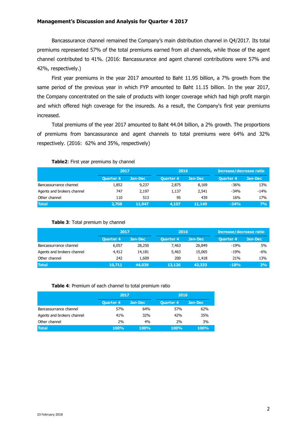Bancassurance channel remained the Company's main distribution channel in Q4/2017. Its total premiums represented 57% of the total premiums earned from all channels, while those of the agent channel contributed to 41%. (2016: Bancassurance and agent channel contributions were 57% and 42%, respectively.)

First year premiums in the year 2017 amounted to Baht 11.95 billion, a 7% growth from the same period of the previous year in which FYP amounted to Baht 11.15 billion. In the year 2017, the Company concentrated on the sale of products with longer coverage which had high profit margin and which offered high coverage for the insureds. As a result, the Company's first year premiums increased.

Total premiums of the year 2017 amounted to Baht 44.04 billion, a 2% growth. The proportions of premiums from bancassurance and agent channels to total premiums were 64% and 32% respectively. (2016: 62% and 35%, respectively)

#### **Table2**: First year premiums by channel

|                            | 2017             |         | 2016             |         | <b>Increase/decrease ratio</b> |         |  |
|----------------------------|------------------|---------|------------------|---------|--------------------------------|---------|--|
|                            | <b>Ouarter 4</b> | Jan-Dec | <b>Ouarter 4</b> | Jan-Dec | <b>Ouarter 4</b>               | Jan-Dec |  |
| Bancassurrance channel     | 1,852            | 9,237   | 2,875            | 8.169   | $-36%$                         | 13%     |  |
| Agents and brokers channel | 747              | 2.197   | 1.137            | 2,541   | $-34%$                         | $-14%$  |  |
| Other channel              | 110              | 513     | 95               | 439     | 16%                            | 17%     |  |
| <b>Total</b>               | 2,708            | 11,947  | 4.107            | 11,149  | $-34%$                         | 7%      |  |

#### **Table 3**: Total premium by channel

|                            | 2017             |         | 2016             |         | Increase/decrease ratio |         |  |
|----------------------------|------------------|---------|------------------|---------|-------------------------|---------|--|
|                            | <b>Ouarter 4</b> | Jan-Dec | <b>Ouarter 4</b> | Jan-Dec | <b>Ouarter 4</b>        | Jan-Dec |  |
| Bancassurrance channel     | 6,057            | 28,250  | 7.463            | 26,849  | $-19%$                  | 5%      |  |
| Agents and brokers channel | 4,412            | 14,181  | 5,463            | 15,065  | $-19%$                  | -6%     |  |
| Other channel              | 242              | 1,609   | 200              | 1,418   | 21%                     | 13%     |  |
| <b>Total</b>               | 10,711           | 44,039  | 13,126           | 43,333  | $-18%$                  | 2%      |  |

#### **Table 4**: Premium of each channel to total premium ratio

|                            | 2017             |         | 2016             |         |  |  |
|----------------------------|------------------|---------|------------------|---------|--|--|
|                            | <b>Quarter 4</b> | Jan-Dec | <b>Quarter 4</b> | Jan-Dec |  |  |
| Bancassurrance channel     | 57%              | 64%     | 57%              | 62%     |  |  |
| Agents and brokers channel | 41%              | 32%     | 42%              | 35%     |  |  |
| Other channel              | 2%               | 4%      | 2%               | 3%      |  |  |
| <b>Total</b>               | 100%             | 100%    | 100%             | 100%    |  |  |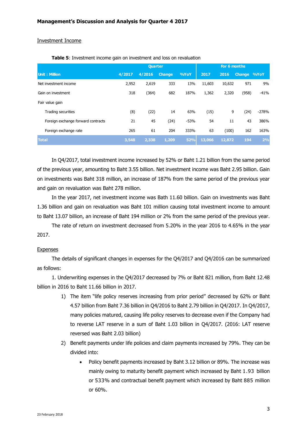#### Investment Income

|                                    | <b>Quarter</b> |        |               |            | For 6 months |        |             |         |
|------------------------------------|----------------|--------|---------------|------------|--------------|--------|-------------|---------|
| <b>Unit: Million</b>               | 4/2017         | 4/2016 | <b>Change</b> | %YoY       | 2017         | 2016   | Change %YoY |         |
| Net investment income              | 2,952          | 2,619  | 333           | 13%        | 11,603       | 10,632 | 971         | 9%      |
| Gain on investment                 | 318            | (364)  | 682           | 187%       | 1,362        | 2,320  | (958)       | $-41%$  |
| Fair value gain                    |                |        |               |            |              |        |             |         |
| Trading securities                 | (8)            | (22)   | 14            | 63%        | (15)         | 9      | (24)        | $-278%$ |
| Foreign exchange forward contracts | 21             | 45     | (24)          | $-53%$     | 54           | 11     | 43          | 386%    |
| Foreign exchange rate              | 265            | 61     | 204           | 333%       | 63           | (100)  | 162         | 163%    |
| <b>Total</b>                       | 3,548          | 2,338  | 1,209         | <b>52%</b> | 13,066       | 12,872 | 194         | 2%      |

**Table 5**: Investment income gain on investment and loss on revaluation

In Q4/2017, total investment income increased by 52% or Baht 1.21 billion from the same period of the previous year, amounting to Baht 3.55 billion. Net investment income was Baht 2.95 billion. Gain on investments was Baht 318 million, an increase of 187% from the same period of the previous year and gain on revaluation was Baht 278 million.

In the year 2017, net investment income was Bath 11.60 billion. Gain on investments was Baht 1.36 billion and gain on revaluation was Baht 101 million causing total investment income to amount to Baht 13.07 billion, an increase of Baht 194 million or 2% from the same period of the previous year.

The rate of return on investment decreased from 5.20% in the year 2016 to 4.65% in the year 2017.

#### Expenses

The details of significant changes in expenses for the Q4/2017 and Q4/2016 can be summarized as follows:

1. Underwriting expenses in the Q4/2017 decreased by 7% or Baht 821 million, from Baht 12.48 billion in 2016 to Baht 11.66 billion in 2017.

- 1) The item "life policy reserves increasing from prior period" decreased by 62% or Baht 4.57 billion from Baht 7.36 billion in Q4/2016 to Baht 2.79 billion in Q4/2017. In Q4/2017, many policies matured, causing life policy reserves to decrease even if the Company had to reverse LAT reserve in a sum of Baht 1.03 billion in Q4/2017. (2016: LAT reserve reversed was Baht 2.03 billion)
- 2) Benefit payments under life policies and claim payments increased by 79%. They can be divided into:
	- Policy benefit payments increased by Baht 3.12 billion or 89%. The increase was mainly owing to maturity benefit payment which increased by Baht 1.93 billion or 533% and contractual benefit payment which increased by Baht 885 million or 60%.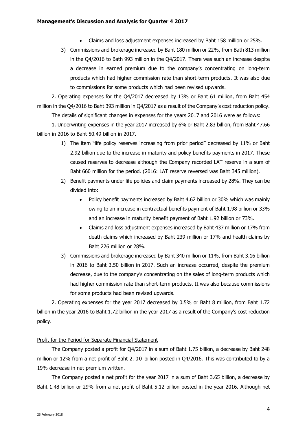- Claims and loss adjustment expenses increased by Baht 158 million or 25%.
- 3) Commissions and brokerage increased by Baht 180 million or 22%, from Bath 813 million in the Q4/2016 to Bath 993 million in the Q4/2017. There was such an increase despite a decrease in earned premium due to the company's concentrating on long-term products which had higher commission rate than short-term products. It was also due to commissions for some products which had been revised upwards.

2. Operating expenses for the Q4/2017 decreased by 13% or Baht 61 million, from Baht 454 million in the Q4/2016 to Baht 393 million in Q4/2017 as a result of the Company's cost reduction policy. The details of significant changes in expenses for the years 2017 and 2016 were as follows:

1. Underwriting expenses in the year 2017 increased by 6% or Baht 2.83 billion, from Baht 47.66 billion in 2016 to Baht 50.49 billion in 2017.

- 1) The item "life policy reserves increasing from prior period" decreased by 11% or Baht 2.92 billion due to the increase in maturity and policy benefits payments in 2017. These caused reserves to decrease although the Company recorded LAT reserve in a sum of Baht 660 million for the period. (2016: LAT reserve reversed was Baht 345 million).
- 2) Benefit payments under life policies and claim payments increased by 28%. They can be divided into:
	- Policy benefit payments increased by Baht 4.62 billion or 30% which was mainly owing to an increase in contractual benefits payment of Baht 1.98 billion or 33% and an increase in maturity benefit payment of Baht 1.92 billion or 73%.
	- Claims and loss adjustment expenses increased by Baht 437 million or 17% from death claims which increased by Baht 239 million or 17% and health claims by Baht 226 million or 28%.
- 3) Commissions and brokerage increased by Baht 340 million or 11%, from Baht 3.16 billion in 2016 to Baht 3.50 billion in 2017. Such an increase occurred, despite the premium decrease, due to the company's concentrating on the sales of long-term products which had higher commission rate than short-term products. It was also because commissions for some products had been revised upwards.

2. Operating expenses for the year 2017 decreased by 0.5% or Baht 8 million, from Baht 1.72 billion in the year 2016 to Baht 1.72 billion in the year 2017 as a result of the Company's cost reduction policy.

## Profit for the Period for Separate Financial Statement

The Company posted a profit for Q4/2017 in a sum of Baht 1.75 billion, a decrease by Baht 248 million or 12% from a net profit of Baht 2.00 billion posted in Q4/2016. This was contributed to by a 19% decrease in net premium written.

The Company posted a net profit for the year 2017 in a sum of Baht 3.65 billion, a decrease by Baht 1.48 billion or 29% from a net profit of Baht 5.12 billion posted in the year 2016. Although net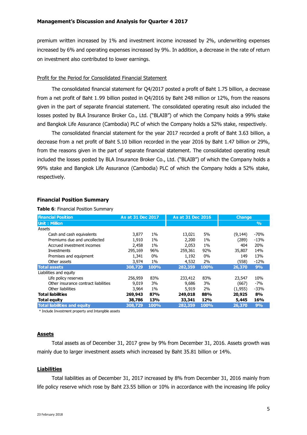premium written increased by 1% and investment income increased by 2%, underwriting expenses increased by 6% and operating expenses increased by 9%. In addition, a decrease in the rate of return on investment also contributed to lower earnings.

#### Profit for the Period for Consolidated Financial Statement

The consolidated financial statement for Q4/2017 posted a profit of Baht 1.75 billion, a decrease from a net profit of Baht 1.99 billion posted in Q4/2016 by Baht 248 million or 12%, from the reasons given in the part of separate financial statement. The consolidated operating result also included the losses posted by BLA Insurance Broker Co., Ltd. ("BLAIB") of which the Company holds a 99% stake and Bangkok Life Assurance (Cambodia) PLC of which the Company holds a 52% stake, respectively.

The consolidated financial statement for the year 2017 recorded a profit of Baht 3.63 billion, a decrease from a net profit of Baht 5.10 billion recorded in the year 2016 by Baht 1.47 billion or 29%, from the reasons given in the part of separate financial statement. The consolidated operating result included the losses posted by BLA Insurance Broker Co., Ltd. ("BLAIB") of which the Company holds a 99% stake and Bangkok Life Assurance (Cambodia) PLC of which the Company holds a 52% stake, respectively.

## **Financial Position Summary**

**Table 6**: Financial Position Summary

| <b>Financial Position</b>            | As at 31 Dec 2017 |       | As at 31 Dec 2016 |       | <b>Change</b> |               |
|--------------------------------------|-------------------|-------|-------------------|-------|---------------|---------------|
| <b>Unit: Million</b>                 |                   |       |                   |       |               | $\frac{9}{6}$ |
| Assets                               |                   |       |                   |       |               |               |
| Cash and cash equivalents            | 3,877             | $1\%$ | 13,021            | 5%    | (9, 144)      | $-70%$        |
| Premiums due and uncollected         | 1,910             | $1\%$ | 2,200             | $1\%$ | (289)         | $-13%$        |
| Accrued investment incomes           | 2,458             | $1\%$ | 2,053             | $1\%$ | 404           | 20%           |
| Investments                          | 295,169           | 96%   | 259,361           | 92%   | 35,807        | 14%           |
| Premises and equipment               | 1,341             | $0\%$ | 1,192             | $0\%$ | 149           | 13%           |
| Other assets                         | 3,974             | $1\%$ | 4,532             | 2%    | (558)         | $-12%$        |
| <b>Total assets</b>                  | 308,729           | 100%  | 282,359           | 100%  | 26,370        | 9%            |
| Liabilities and equity               |                   |       |                   |       |               |               |
| Life policy reserves                 | 256,959           | 83%   | 233,412           | 83%   | 23,547        | 10%           |
| Other insurance contract liabilities | 9,019             | 3%    | 9,686             | 3%    | (667)         | $-7%$         |
| Other liabilities                    | 3,964             | $1\%$ | 5,919             | 2%    | (1,955)       | $-33%$        |
| <b>Total liabilities</b>             | 269,943           | 87%   | 249,018           | 88%   | 20,925        | 8%            |
| <b>Total equity</b>                  | 38,786            | 13%   | 33,341            | 12%   | 5,445         | 16%           |
| <b>Total liabilities and equity</b>  | 308,729           | 100%  | 282,359           | 100%  | 26,370        | 9%            |

\* Include Investment property and Intangible assets

#### **Assets**

Total assets as of December 31, 2017 grew by 9% from December 31, 2016. Assets growth was mainly due to larger investment assets which increased by Baht 35.81 billion or 14%.

#### **Liabilities**

Total liabilities as of December 31, 2017 increased by 8% from December 31, 2016 mainly from life policy reserve which rose by Baht 23.55 billion or 10% in accordance with the increasing life policy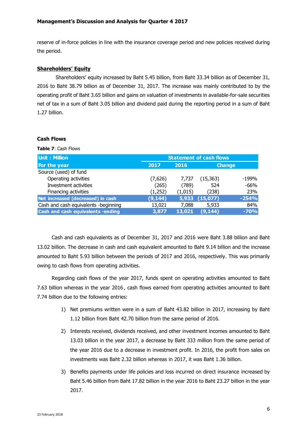reserve of in-force policies in line with the insurance coverage period and new policies received during the period.

# **Shareholders' Equity**

Shareholders' equity increased by Baht 5.45 billion, from Baht 33.34 billion as of December 31, 2016 to Baht 38.79 billion as of December 31, 2017. The increase was mainly contributed to by the operating profit of Baht 3.65 billion and gains on valuation of investments in available-for-sale securities net of tax in a sum of Baht 3.05 billion and dividend paid during the reporting period in a sum of Baht 1.27 billion.

#### **Cash Flows**

**Table 7**: Cash Flows

| <b>Unit: Million</b>                 | <b>Statement of cash flows</b> |         |           |               |  |  |  |
|--------------------------------------|--------------------------------|---------|-----------|---------------|--|--|--|
| For the year                         | 2017                           | 2016    |           | <b>Change</b> |  |  |  |
| Source (used) of fund                |                                |         |           |               |  |  |  |
| Operating activities                 | (7,626)                        | 7,737   | (15, 363) | $-199%$       |  |  |  |
| Investment activities                | (265)                          | (789)   | 524       | $-66%$        |  |  |  |
| Financing activities                 | (1,252)                        | (1,015) | (238)     | 23%           |  |  |  |
| Net increased (decreased) in cash    | (9, 144)                       | 5,933   | (15,077)  | $-254%$       |  |  |  |
| Cash and cash equivalents -beginning | 13,021                         | 7,088   | 5,933     | 84%           |  |  |  |
| Cash and cash equivalents -ending    | 3,877                          | 13,021  | (9, 144)  | $-70%$        |  |  |  |

Cash and cash equivalents as of December 31, 2017 and 2016 were Baht 3.88 billion and Baht 13.02 billion. The decrease in cash and cash equivalent amounted to Baht 9.14 billion and the increase amounted to Baht 5.93 billion between the periods of 2017 and 2016, respectively. This was primarily owing to cash flows from operating activities.

Regarding cash flows of the year 2017, funds spent on operating activities amounted to Baht 7.63 billion whereas in the year 2016 , cash flows earned from operating activities amounted to Baht 7.74 billion due to the following entries:

- 1) Net premiums written were in a sum of Baht 43.82 billion in 2017, increasing by Baht 1.12 billion from Baht 42.70 billion from the same period of 2016.
- 2) Interests received, dividends received, and other investment incomes amounted to Baht 13.03 billion in the year 2017, a decrease by Baht 333 million from the same period of the year 2016 due to a decrease in investment profit. In 2016, the profit from sales on investments was Baht 2.32 billion whereas in 2017, it was Baht 1.36 billion.
- 3) Benefits payments under life policies and loss incurred on direct insurance increased by Baht 5.46 billion from Baht 17.82 billion in the year 2016 to Baht 23.27 billion in the year 2017.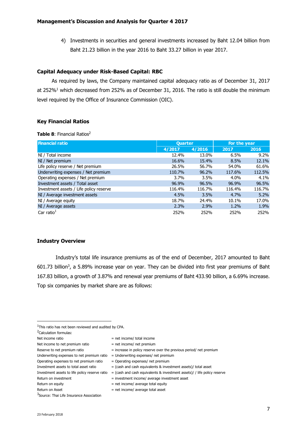4) Investments in securities and general investments increased by Baht 12.04 billion from Baht 21.23 billion in the year 2016 to Baht 33.27 billion in year 2017.

## **Capital Adequacy under Risk-Based Capital: RBC**

As required by laws, the Company maintained capital adequacy ratio as of December 31, 2017 at 252%<sup>1</sup> which decreased from 252% as of December 31, 2016. The ratio is still double the minimum level required by the Office of Insurance Commission (OIC).

# **Key Financial Ratios**

**Table 8: Financial Ratios<sup>2</sup>** 

| <b>Financial ratio</b>                  | <b>Quarter</b> |        | For the year |         |
|-----------------------------------------|----------------|--------|--------------|---------|
|                                         | 4/2017         | 4/2016 | 2017         | 2016    |
| NI / Total income                       | 12.4%          | 13.0%  | 6.5%         | $9.2\%$ |
| NI / Net premium                        | 16.6%          | 15.4%  | 8.5%         | 12.1%   |
| Life policy reserve / Net premium       | 26.5%          | 56.7%  | 54.0%        | 61.6%   |
| Underwriting expenses / Net premium     | 110.7%         | 96.2%  | 117.6%       | 112.5%  |
| Operating expenses / Net premium        | 3.7%           | 3.5%   | $4.0\%$      | $4.1\%$ |
| Investment assets / Total asset         | 96.9%          | 96.5%  | 96.9%        | 96.5%   |
| Investment assets / Life policy reserve | 116.4%         | 116.7% | 116.4%       | 116.7%  |
| NI / Average investment assets          | 4.5%           | 3.5%   | 4.7%         | 5.2%    |
| NI / Average equity                     | 18.7%          | 24.4%  | 10.1%        | 17.0%   |
| NI / Average assets                     | 2.3%           | 2.9%   | $1.2\%$      | 1.9%    |
| Car ratio $1$                           | 252%           | 252%   | 252%         | 252%    |

## **Industry Overview**

Industry's total life insurance premiums as of the end of December, 2017 amounted to Baht 601.73 billion<sup>3</sup>, a 5.89% increase year on year. They can be divided into first year premiums of Baht 167.83 billion, a growth of 3.87% and renewal year premiums of Baht 433.90 billion, a 6.69% increase. Top six companies by market share are as follows:

**.** 

- Net income to net premium ratio  $=$  net income/ net premium
- Reserve to net premium ratio  $=$  increase in policy reserve over the previous period/ net premium
- Underwriting expenses to net premium ratio  $=$  Underwriting expenses/ net premium
- Operating expenses to net premium ratio  $=$  Operating expenses/ net premium
- Investment assets to total asset ratio  $=$  (cash and cash equivalents & investment assets)/ total asset
- Investment assets to life policy reserve ratio  $=$  (cash and cash equivalents & investment assets)/ / life policy reserve
- Return on investment = investment = investment income/ average investment asset
- Return on equity  $=$  net income/ average total equity
- $Return on Asset = net income/ average total asset$

<sup>3</sup>Source: Thai Life Insurance Association

<sup>1</sup>This ratio has not been reviewed and audited by CPA.

<sup>2</sup>Calculation formulas:

Net income ratio  $=$  net income/ total income